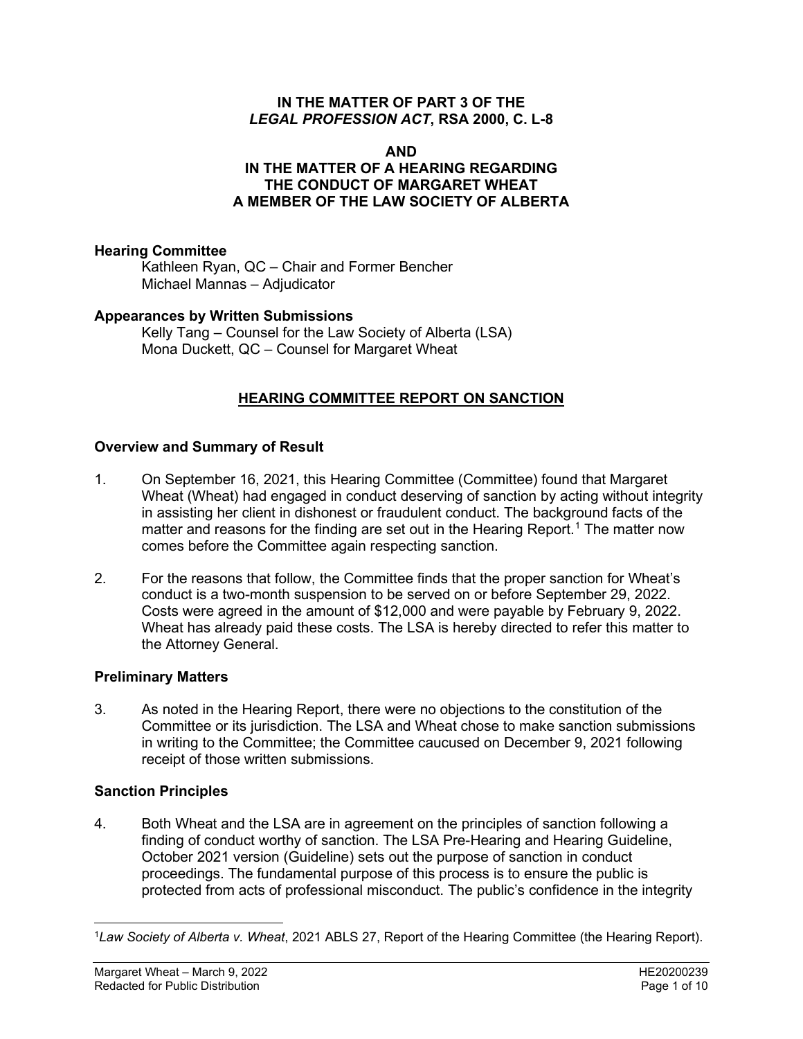#### **IN THE MATTER OF PART 3 OF THE**  *LEGAL PROFESSION ACT***, RSA 2000, C. L-8**

#### **AND IN THE MATTER OF A HEARING REGARDING THE CONDUCT OF MARGARET WHEAT A MEMBER OF THE LAW SOCIETY OF ALBERTA**

## **Hearing Committee**

Kathleen Ryan, QC – Chair and Former Bencher Michael Mannas – Adjudicator

## **Appearances by Written Submissions**

Kelly Tang – Counsel for the Law Society of Alberta (LSA) Mona Duckett, QC – Counsel for Margaret Wheat

# **HEARING COMMITTEE REPORT ON SANCTION**

## **Overview and Summary of Result**

- 1. On September 16, 2021, this Hearing Committee (Committee) found that Margaret Wheat (Wheat) had engaged in conduct deserving of sanction by acting without integrity in assisting her client in dishonest or fraudulent conduct. The background facts of the matter and reasons for the finding are set out in the Hearing Report.<sup>[1](#page-0-0)</sup> The matter now comes before the Committee again respecting sanction.
- 2. For the reasons that follow, the Committee finds that the proper sanction for Wheat's conduct is a two-month suspension to be served on or before September 29, 2022. Costs were agreed in the amount of \$12,000 and were payable by February 9, 2022. Wheat has already paid these costs. The LSA is hereby directed to refer this matter to the Attorney General.

#### **Preliminary Matters**

3. As noted in the Hearing Report, there were no objections to the constitution of the Committee or its jurisdiction. The LSA and Wheat chose to make sanction submissions in writing to the Committee; the Committee caucused on December 9, 2021 following receipt of those written submissions.

#### **Sanction Principles**

4. Both Wheat and the LSA are in agreement on the principles of sanction following a finding of conduct worthy of sanction. The LSA Pre-Hearing and Hearing Guideline, October 2021 version (Guideline) sets out the purpose of sanction in conduct proceedings. The fundamental purpose of this process is to ensure the public is protected from acts of professional misconduct. The public's confidence in the integrity

<span id="page-0-0"></span><sup>1</sup>*Law Society of Alberta v. Wheat*, 2021 ABLS 27, Report of the Hearing Committee (the Hearing Report).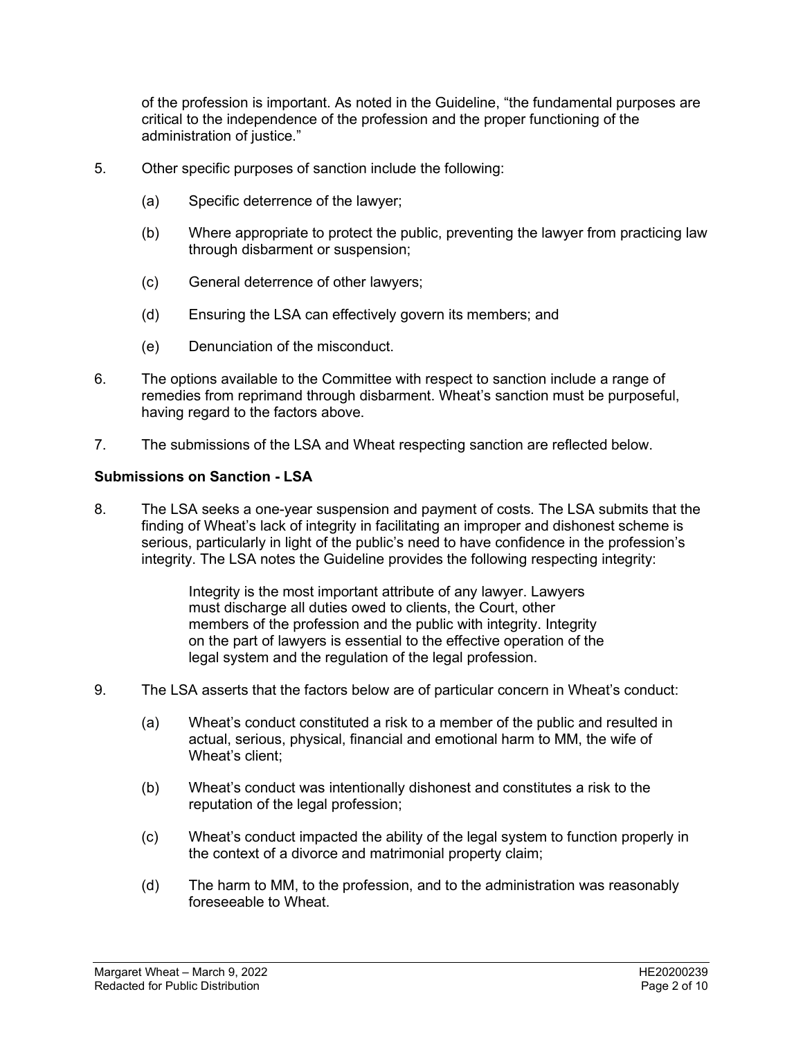of the profession is important. As noted in the Guideline, "the fundamental purposes are critical to the independence of the profession and the proper functioning of the administration of justice."

- 5. Other specific purposes of sanction include the following:
	- (a) Specific deterrence of the lawyer;
	- (b) Where appropriate to protect the public, preventing the lawyer from practicing law through disbarment or suspension;
	- (c) General deterrence of other lawyers;
	- (d) Ensuring the LSA can effectively govern its members; and
	- (e) Denunciation of the misconduct.
- 6. The options available to the Committee with respect to sanction include a range of remedies from reprimand through disbarment. Wheat's sanction must be purposeful, having regard to the factors above.
- 7. The submissions of the LSA and Wheat respecting sanction are reflected below.

#### **Submissions on Sanction - LSA**

8. The LSA seeks a one-year suspension and payment of costs. The LSA submits that the finding of Wheat's lack of integrity in facilitating an improper and dishonest scheme is serious, particularly in light of the public's need to have confidence in the profession's integrity. The LSA notes the Guideline provides the following respecting integrity:

> Integrity is the most important attribute of any lawyer. Lawyers must discharge all duties owed to clients, the Court, other members of the profession and the public with integrity. Integrity on the part of lawyers is essential to the effective operation of the legal system and the regulation of the legal profession.

- 9. The LSA asserts that the factors below are of particular concern in Wheat's conduct:
	- (a) Wheat's conduct constituted a risk to a member of the public and resulted in actual, serious, physical, financial and emotional harm to MM, the wife of Wheat's client;
	- (b) Wheat's conduct was intentionally dishonest and constitutes a risk to the reputation of the legal profession;
	- (c) Wheat's conduct impacted the ability of the legal system to function properly in the context of a divorce and matrimonial property claim;
	- (d) The harm to MM, to the profession, and to the administration was reasonably foreseeable to Wheat.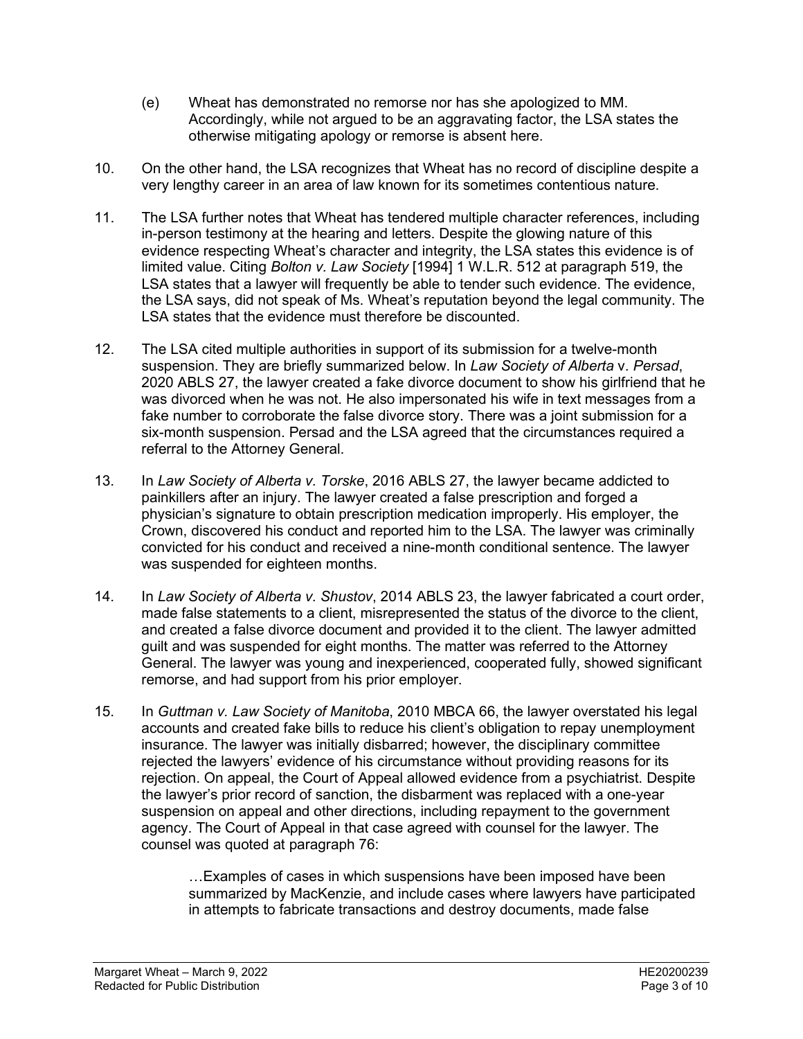- (e) Wheat has demonstrated no remorse nor has she apologized to MM. Accordingly, while not argued to be an aggravating factor, the LSA states the otherwise mitigating apology or remorse is absent here.
- 10. On the other hand, the LSA recognizes that Wheat has no record of discipline despite a very lengthy career in an area of law known for its sometimes contentious nature.
- 11. The LSA further notes that Wheat has tendered multiple character references, including in-person testimony at the hearing and letters. Despite the glowing nature of this evidence respecting Wheat's character and integrity, the LSA states this evidence is of limited value. Citing *Bolton v. Law Society* [1994] 1 W.L.R. 512 at paragraph 519, the LSA states that a lawyer will frequently be able to tender such evidence. The evidence, the LSA says, did not speak of Ms. Wheat's reputation beyond the legal community. The LSA states that the evidence must therefore be discounted.
- 12. The LSA cited multiple authorities in support of its submission for a twelve-month suspension. They are briefly summarized below. In *Law Society of Alberta* v. *Persad*, 2020 ABLS 27, the lawyer created a fake divorce document to show his girlfriend that he was divorced when he was not. He also impersonated his wife in text messages from a fake number to corroborate the false divorce story. There was a joint submission for a six-month suspension. Persad and the LSA agreed that the circumstances required a referral to the Attorney General.
- 13. In *Law Society of Alberta v. Torske*, 2016 ABLS 27, the lawyer became addicted to painkillers after an injury. The lawyer created a false prescription and forged a physician's signature to obtain prescription medication improperly. His employer, the Crown, discovered his conduct and reported him to the LSA. The lawyer was criminally convicted for his conduct and received a nine-month conditional sentence. The lawyer was suspended for eighteen months.
- 14. In *Law Society of Alberta v. Shustov*, 2014 ABLS 23, the lawyer fabricated a court order, made false statements to a client, misrepresented the status of the divorce to the client, and created a false divorce document and provided it to the client. The lawyer admitted guilt and was suspended for eight months. The matter was referred to the Attorney General. The lawyer was young and inexperienced, cooperated fully, showed significant remorse, and had support from his prior employer.
- 15. In *Guttman v. Law Society of Manitoba*, 2010 MBCA 66, the lawyer overstated his legal accounts and created fake bills to reduce his client's obligation to repay unemployment insurance. The lawyer was initially disbarred; however, the disciplinary committee rejected the lawyers' evidence of his circumstance without providing reasons for its rejection. On appeal, the Court of Appeal allowed evidence from a psychiatrist. Despite the lawyer's prior record of sanction, the disbarment was replaced with a one-year suspension on appeal and other directions, including repayment to the government agency. The Court of Appeal in that case agreed with counsel for the lawyer. The counsel was quoted at paragraph 76:

…Examples of cases in which suspensions have been imposed have been summarized by MacKenzie, and include cases where lawyers have participated in attempts to fabricate transactions and destroy documents, made false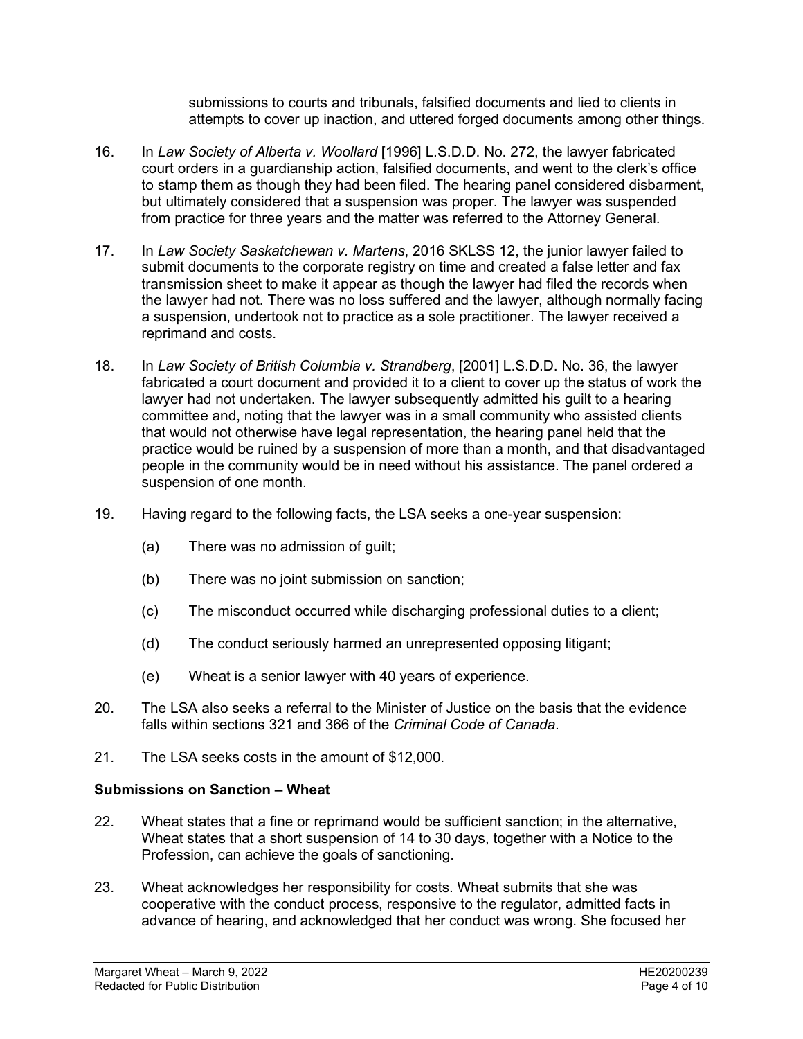submissions to courts and tribunals, falsified documents and lied to clients in attempts to cover up inaction, and uttered forged documents among other things.

- 16. In *Law Society of Alberta v. Woollard* [1996] L.S.D.D. No. 272, the lawyer fabricated court orders in a guardianship action, falsified documents, and went to the clerk's office to stamp them as though they had been filed. The hearing panel considered disbarment, but ultimately considered that a suspension was proper. The lawyer was suspended from practice for three years and the matter was referred to the Attorney General.
- 17. In *Law Society Saskatchewan v. Martens*, 2016 SKLSS 12, the junior lawyer failed to submit documents to the corporate registry on time and created a false letter and fax transmission sheet to make it appear as though the lawyer had filed the records when the lawyer had not. There was no loss suffered and the lawyer, although normally facing a suspension, undertook not to practice as a sole practitioner. The lawyer received a reprimand and costs.
- 18. In *Law Society of British Columbia v. Strandberg*, [2001] L.S.D.D. No. 36, the lawyer fabricated a court document and provided it to a client to cover up the status of work the lawyer had not undertaken. The lawyer subsequently admitted his guilt to a hearing committee and, noting that the lawyer was in a small community who assisted clients that would not otherwise have legal representation, the hearing panel held that the practice would be ruined by a suspension of more than a month, and that disadvantaged people in the community would be in need without his assistance. The panel ordered a suspension of one month.
- 19. Having regard to the following facts, the LSA seeks a one-year suspension:
	- (a) There was no admission of guilt;
	- (b) There was no joint submission on sanction;
	- (c) The misconduct occurred while discharging professional duties to a client;
	- (d) The conduct seriously harmed an unrepresented opposing litigant;
	- (e) Wheat is a senior lawyer with 40 years of experience.
- 20. The LSA also seeks a referral to the Minister of Justice on the basis that the evidence falls within sections 321 and 366 of the *Criminal Code of Canada*.
- 21. The LSA seeks costs in the amount of \$12,000.

#### **Submissions on Sanction – Wheat**

- 22. Wheat states that a fine or reprimand would be sufficient sanction; in the alternative, Wheat states that a short suspension of 14 to 30 days, together with a Notice to the Profession, can achieve the goals of sanctioning.
- 23. Wheat acknowledges her responsibility for costs. Wheat submits that she was cooperative with the conduct process, responsive to the regulator, admitted facts in advance of hearing, and acknowledged that her conduct was wrong. She focused her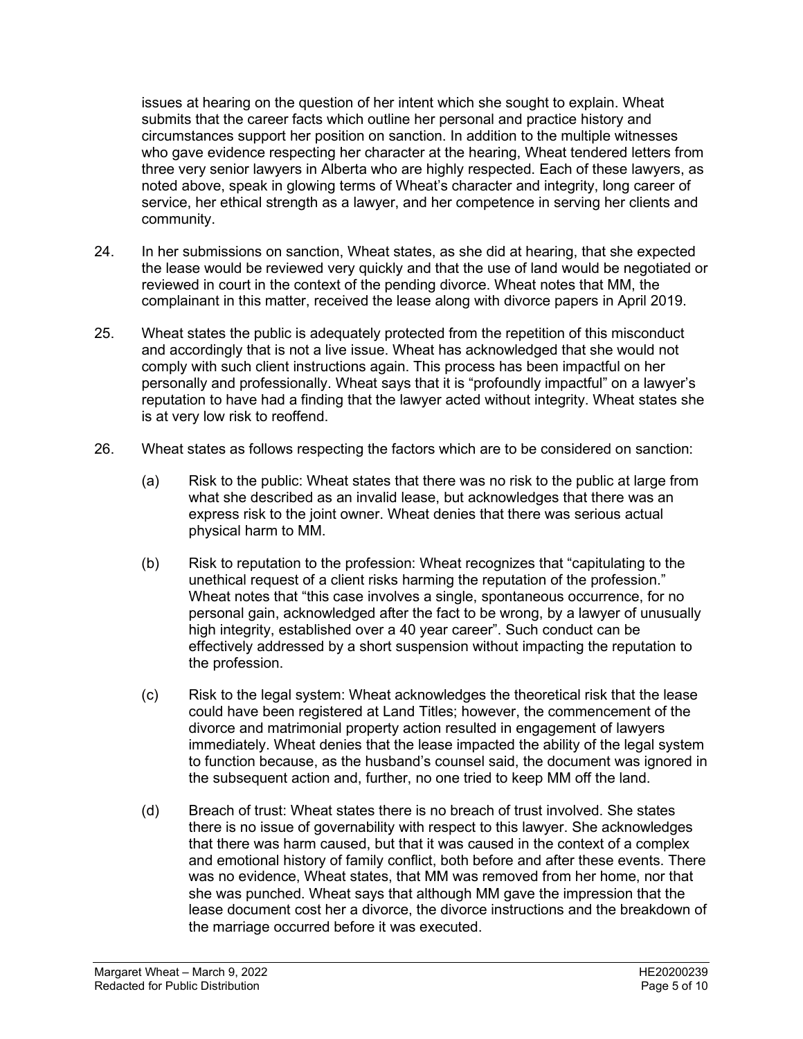issues at hearing on the question of her intent which she sought to explain. Wheat submits that the career facts which outline her personal and practice history and circumstances support her position on sanction. In addition to the multiple witnesses who gave evidence respecting her character at the hearing, Wheat tendered letters from three very senior lawyers in Alberta who are highly respected. Each of these lawyers, as noted above, speak in glowing terms of Wheat's character and integrity, long career of service, her ethical strength as a lawyer, and her competence in serving her clients and community.

- 24. In her submissions on sanction, Wheat states, as she did at hearing, that she expected the lease would be reviewed very quickly and that the use of land would be negotiated or reviewed in court in the context of the pending divorce. Wheat notes that MM, the complainant in this matter, received the lease along with divorce papers in April 2019.
- 25. Wheat states the public is adequately protected from the repetition of this misconduct and accordingly that is not a live issue. Wheat has acknowledged that she would not comply with such client instructions again. This process has been impactful on her personally and professionally. Wheat says that it is "profoundly impactful" on a lawyer's reputation to have had a finding that the lawyer acted without integrity. Wheat states she is at very low risk to reoffend.
- 26. Wheat states as follows respecting the factors which are to be considered on sanction:
	- (a) Risk to the public: Wheat states that there was no risk to the public at large from what she described as an invalid lease, but acknowledges that there was an express risk to the joint owner. Wheat denies that there was serious actual physical harm to MM.
	- (b) Risk to reputation to the profession: Wheat recognizes that "capitulating to the unethical request of a client risks harming the reputation of the profession." Wheat notes that "this case involves a single, spontaneous occurrence, for no personal gain, acknowledged after the fact to be wrong, by a lawyer of unusually high integrity, established over a 40 year career". Such conduct can be effectively addressed by a short suspension without impacting the reputation to the profession.
	- (c) Risk to the legal system: Wheat acknowledges the theoretical risk that the lease could have been registered at Land Titles; however, the commencement of the divorce and matrimonial property action resulted in engagement of lawyers immediately. Wheat denies that the lease impacted the ability of the legal system to function because, as the husband's counsel said, the document was ignored in the subsequent action and, further, no one tried to keep MM off the land.
	- (d) Breach of trust: Wheat states there is no breach of trust involved. She states there is no issue of governability with respect to this lawyer. She acknowledges that there was harm caused, but that it was caused in the context of a complex and emotional history of family conflict, both before and after these events. There was no evidence, Wheat states, that MM was removed from her home, nor that she was punched. Wheat says that although MM gave the impression that the lease document cost her a divorce, the divorce instructions and the breakdown of the marriage occurred before it was executed.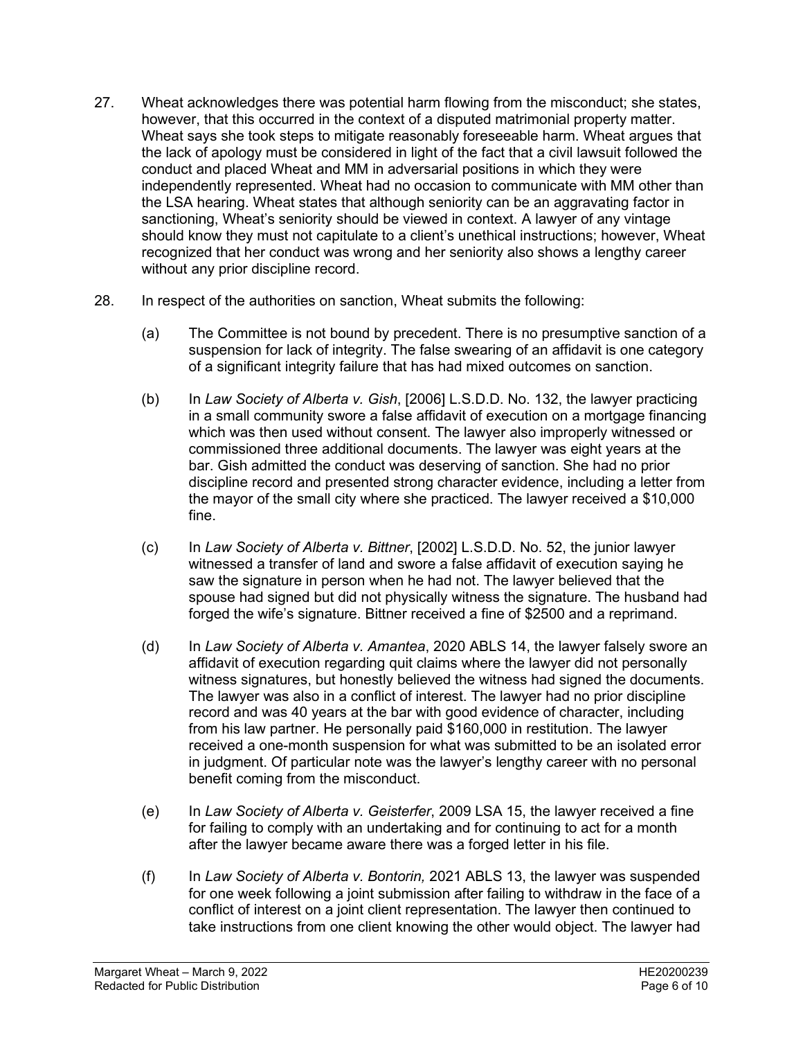- 27. Wheat acknowledges there was potential harm flowing from the misconduct; she states, however, that this occurred in the context of a disputed matrimonial property matter. Wheat says she took steps to mitigate reasonably foreseeable harm. Wheat argues that the lack of apology must be considered in light of the fact that a civil lawsuit followed the conduct and placed Wheat and MM in adversarial positions in which they were independently represented. Wheat had no occasion to communicate with MM other than the LSA hearing. Wheat states that although seniority can be an aggravating factor in sanctioning, Wheat's seniority should be viewed in context. A lawyer of any vintage should know they must not capitulate to a client's unethical instructions; however, Wheat recognized that her conduct was wrong and her seniority also shows a lengthy career without any prior discipline record.
- 28. In respect of the authorities on sanction, Wheat submits the following:
	- (a) The Committee is not bound by precedent. There is no presumptive sanction of a suspension for lack of integrity. The false swearing of an affidavit is one category of a significant integrity failure that has had mixed outcomes on sanction.
	- (b) In *Law Society of Alberta v. Gish*, [2006] L.S.D.D. No. 132, the lawyer practicing in a small community swore a false affidavit of execution on a mortgage financing which was then used without consent. The lawyer also improperly witnessed or commissioned three additional documents. The lawyer was eight years at the bar. Gish admitted the conduct was deserving of sanction. She had no prior discipline record and presented strong character evidence, including a letter from the mayor of the small city where she practiced. The lawyer received a \$10,000 fine.
	- (c) In *Law Society of Alberta v. Bittner*, [2002] L.S.D.D. No. 52, the junior lawyer witnessed a transfer of land and swore a false affidavit of execution saying he saw the signature in person when he had not. The lawyer believed that the spouse had signed but did not physically witness the signature. The husband had forged the wife's signature. Bittner received a fine of \$2500 and a reprimand.
	- (d) In *Law Society of Alberta v. Amantea*, 2020 ABLS 14, the lawyer falsely swore an affidavit of execution regarding quit claims where the lawyer did not personally witness signatures, but honestly believed the witness had signed the documents. The lawyer was also in a conflict of interest. The lawyer had no prior discipline record and was 40 years at the bar with good evidence of character, including from his law partner. He personally paid \$160,000 in restitution. The lawyer received a one-month suspension for what was submitted to be an isolated error in judgment. Of particular note was the lawyer's lengthy career with no personal benefit coming from the misconduct.
	- (e) In *Law Society of Alberta v. Geisterfer*, 2009 LSA 15, the lawyer received a fine for failing to comply with an undertaking and for continuing to act for a month after the lawyer became aware there was a forged letter in his file.
	- (f) In *Law Society of Alberta v. Bontorin,* 2021 ABLS 13, the lawyer was suspended for one week following a joint submission after failing to withdraw in the face of a conflict of interest on a joint client representation. The lawyer then continued to take instructions from one client knowing the other would object. The lawyer had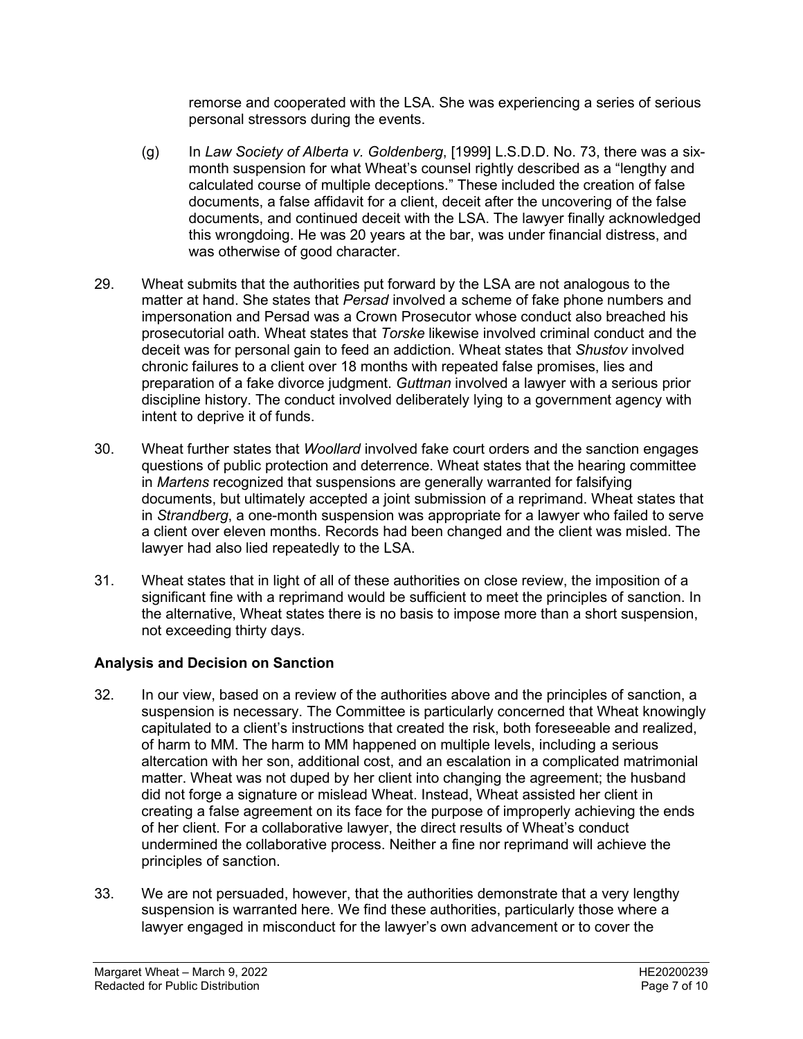remorse and cooperated with the LSA. She was experiencing a series of serious personal stressors during the events.

- (g) In *Law Society of Alberta v. Goldenberg*, [1999] L.S.D.D. No. 73, there was a sixmonth suspension for what Wheat's counsel rightly described as a "lengthy and calculated course of multiple deceptions." These included the creation of false documents, a false affidavit for a client, deceit after the uncovering of the false documents, and continued deceit with the LSA. The lawyer finally acknowledged this wrongdoing. He was 20 years at the bar, was under financial distress, and was otherwise of good character.
- 29. Wheat submits that the authorities put forward by the LSA are not analogous to the matter at hand. She states that *Persad* involved a scheme of fake phone numbers and impersonation and Persad was a Crown Prosecutor whose conduct also breached his prosecutorial oath. Wheat states that *Torske* likewise involved criminal conduct and the deceit was for personal gain to feed an addiction. Wheat states that *Shustov* involved chronic failures to a client over 18 months with repeated false promises, lies and preparation of a fake divorce judgment. *Guttman* involved a lawyer with a serious prior discipline history. The conduct involved deliberately lying to a government agency with intent to deprive it of funds.
- 30. Wheat further states that *Woollard* involved fake court orders and the sanction engages questions of public protection and deterrence. Wheat states that the hearing committee in *Martens* recognized that suspensions are generally warranted for falsifying documents, but ultimately accepted a joint submission of a reprimand. Wheat states that in *Strandberg*, a one-month suspension was appropriate for a lawyer who failed to serve a client over eleven months. Records had been changed and the client was misled. The lawyer had also lied repeatedly to the LSA.
- 31. Wheat states that in light of all of these authorities on close review, the imposition of a significant fine with a reprimand would be sufficient to meet the principles of sanction. In the alternative, Wheat states there is no basis to impose more than a short suspension, not exceeding thirty days.

# **Analysis and Decision on Sanction**

- 32. In our view, based on a review of the authorities above and the principles of sanction, a suspension is necessary. The Committee is particularly concerned that Wheat knowingly capitulated to a client's instructions that created the risk, both foreseeable and realized, of harm to MM. The harm to MM happened on multiple levels, including a serious altercation with her son, additional cost, and an escalation in a complicated matrimonial matter. Wheat was not duped by her client into changing the agreement; the husband did not forge a signature or mislead Wheat. Instead, Wheat assisted her client in creating a false agreement on its face for the purpose of improperly achieving the ends of her client. For a collaborative lawyer, the direct results of Wheat's conduct undermined the collaborative process. Neither a fine nor reprimand will achieve the principles of sanction.
- 33. We are not persuaded, however, that the authorities demonstrate that a very lengthy suspension is warranted here. We find these authorities, particularly those where a lawyer engaged in misconduct for the lawyer's own advancement or to cover the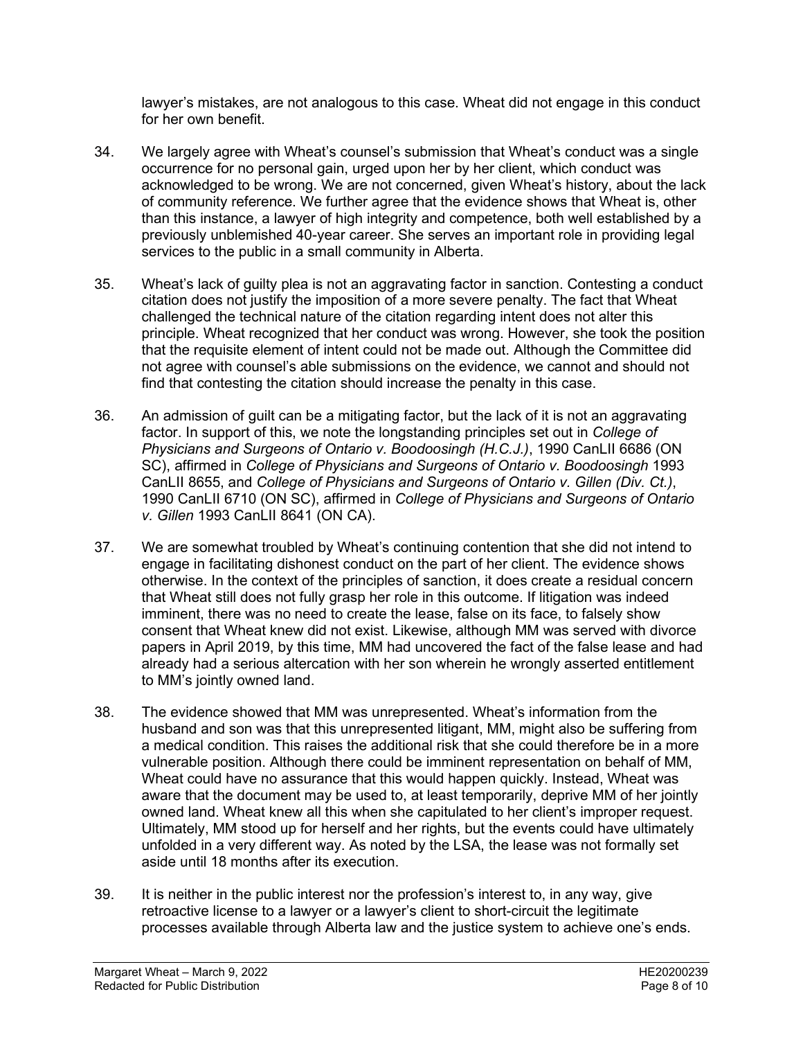lawyer's mistakes, are not analogous to this case. Wheat did not engage in this conduct for her own benefit.

- 34. We largely agree with Wheat's counsel's submission that Wheat's conduct was a single occurrence for no personal gain, urged upon her by her client, which conduct was acknowledged to be wrong. We are not concerned, given Wheat's history, about the lack of community reference. We further agree that the evidence shows that Wheat is, other than this instance, a lawyer of high integrity and competence, both well established by a previously unblemished 40-year career. She serves an important role in providing legal services to the public in a small community in Alberta.
- 35. Wheat's lack of guilty plea is not an aggravating factor in sanction. Contesting a conduct citation does not justify the imposition of a more severe penalty. The fact that Wheat challenged the technical nature of the citation regarding intent does not alter this principle. Wheat recognized that her conduct was wrong. However, she took the position that the requisite element of intent could not be made out. Although the Committee did not agree with counsel's able submissions on the evidence, we cannot and should not find that contesting the citation should increase the penalty in this case.
- 36. An admission of guilt can be a mitigating factor, but the lack of it is not an aggravating factor. In support of this, we note the longstanding principles set out in *College of Physicians and Surgeons of Ontario v. Boodoosingh (H.C.J.)*, 1990 CanLII 6686 (ON SC), affirmed in *College of Physicians and Surgeons of Ontario v. Boodoosingh* 1993 CanLII 8655, and *College of Physicians and Surgeons of Ontario v. Gillen (Div. Ct.)*, 1990 CanLII 6710 (ON SC), affirmed in *College of Physicians and Surgeons of Ontario v. Gillen* 1993 CanLII 8641 (ON CA).
- 37. We are somewhat troubled by Wheat's continuing contention that she did not intend to engage in facilitating dishonest conduct on the part of her client. The evidence shows otherwise. In the context of the principles of sanction, it does create a residual concern that Wheat still does not fully grasp her role in this outcome. If litigation was indeed imminent, there was no need to create the lease, false on its face, to falsely show consent that Wheat knew did not exist. Likewise, although MM was served with divorce papers in April 2019, by this time, MM had uncovered the fact of the false lease and had already had a serious altercation with her son wherein he wrongly asserted entitlement to MM's jointly owned land.
- 38. The evidence showed that MM was unrepresented. Wheat's information from the husband and son was that this unrepresented litigant, MM, might also be suffering from a medical condition. This raises the additional risk that she could therefore be in a more vulnerable position. Although there could be imminent representation on behalf of MM, Wheat could have no assurance that this would happen quickly. Instead, Wheat was aware that the document may be used to, at least temporarily, deprive MM of her jointly owned land. Wheat knew all this when she capitulated to her client's improper request. Ultimately, MM stood up for herself and her rights, but the events could have ultimately unfolded in a very different way. As noted by the LSA, the lease was not formally set aside until 18 months after its execution.
- 39. It is neither in the public interest nor the profession's interest to, in any way, give retroactive license to a lawyer or a lawyer's client to short-circuit the legitimate processes available through Alberta law and the justice system to achieve one's ends.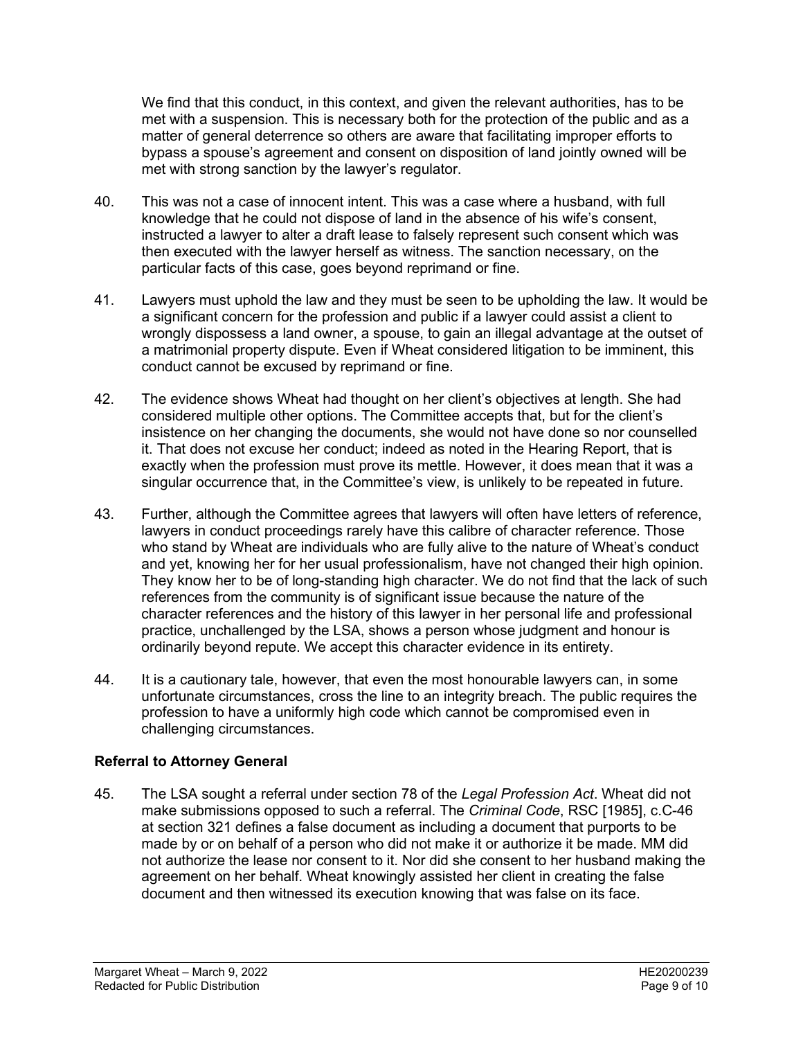We find that this conduct, in this context, and given the relevant authorities, has to be met with a suspension. This is necessary both for the protection of the public and as a matter of general deterrence so others are aware that facilitating improper efforts to bypass a spouse's agreement and consent on disposition of land jointly owned will be met with strong sanction by the lawyer's regulator.

- 40. This was not a case of innocent intent. This was a case where a husband, with full knowledge that he could not dispose of land in the absence of his wife's consent, instructed a lawyer to alter a draft lease to falsely represent such consent which was then executed with the lawyer herself as witness. The sanction necessary, on the particular facts of this case, goes beyond reprimand or fine.
- 41. Lawyers must uphold the law and they must be seen to be upholding the law. It would be a significant concern for the profession and public if a lawyer could assist a client to wrongly dispossess a land owner, a spouse, to gain an illegal advantage at the outset of a matrimonial property dispute. Even if Wheat considered litigation to be imminent, this conduct cannot be excused by reprimand or fine.
- 42. The evidence shows Wheat had thought on her client's objectives at length. She had considered multiple other options. The Committee accepts that, but for the client's insistence on her changing the documents, she would not have done so nor counselled it. That does not excuse her conduct; indeed as noted in the Hearing Report, that is exactly when the profession must prove its mettle. However, it does mean that it was a singular occurrence that, in the Committee's view, is unlikely to be repeated in future.
- 43. Further, although the Committee agrees that lawyers will often have letters of reference, lawyers in conduct proceedings rarely have this calibre of character reference. Those who stand by Wheat are individuals who are fully alive to the nature of Wheat's conduct and yet, knowing her for her usual professionalism, have not changed their high opinion. They know her to be of long-standing high character. We do not find that the lack of such references from the community is of significant issue because the nature of the character references and the history of this lawyer in her personal life and professional practice, unchallenged by the LSA, shows a person whose judgment and honour is ordinarily beyond repute. We accept this character evidence in its entirety.
- 44. It is a cautionary tale, however, that even the most honourable lawyers can, in some unfortunate circumstances, cross the line to an integrity breach. The public requires the profession to have a uniformly high code which cannot be compromised even in challenging circumstances.

# **Referral to Attorney General**

45. The LSA sought a referral under section 78 of the *Legal Profession Act*. Wheat did not make submissions opposed to such a referral. The *Criminal Code*, RSC [1985], c.C-46 at section 321 defines a false document as including a document that purports to be made by or on behalf of a person who did not make it or authorize it be made. MM did not authorize the lease nor consent to it. Nor did she consent to her husband making the agreement on her behalf. Wheat knowingly assisted her client in creating the false document and then witnessed its execution knowing that was false on its face.